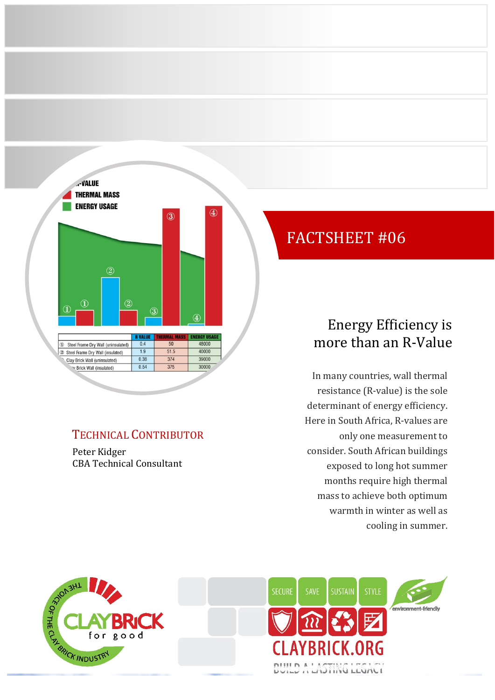

### TECHNICAL CONTRIBUTOR

Peter Kidger CBA Technical Consultant

# FACTSHEET #06

## Energy Efficiency is more than an R-Value

In many countries, wall thermal resistance (R-value) is the sole determinant of energy efficiency. Here in South Africa, R-values are only one measurement to consider. South African buildings exposed to long hot summer months require high thermal mass to achieve both optimum warmth in winter as well as cooling in summer.



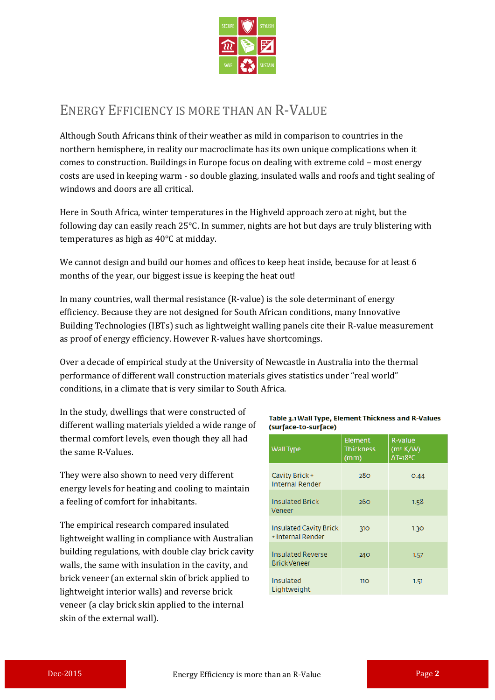

### ENERGY EFFICIENCY IS MORE THAN AN R-VALUE

Although South Africans think of their weather as mild in comparison to countries in the northern hemisphere, in reality our macroclimate has its own unique complications when it comes to construction. Buildings in Europe focus on dealing with extreme cold – most energy costs are used in keeping warm - so double glazing, insulated walls and roofs and tight sealing of windows and doors are all critical.

Here in South Africa, winter temperatures in the Highveld approach zero at night, but the following day can easily reach 25°C. In summer, nights are hot but days are truly blistering with temperatures as high as 40°C at midday.

We cannot design and build our homes and offices to keep heat inside, because for at least 6 months of the year, our biggest issue is keeping the heat out!

In many countries, wall thermal resistance (R-value) is the sole determinant of energy efficiency. Because they are not designed for South African conditions, many Innovative Building Technologies (IBTs) such as lightweight walling panels cite their R-value measurement as proof of energy efficiency. However R-values have shortcomings.

Over a decade of empirical study at the University of Newcastle in Australia into the thermal performance of different wall construction materials gives statistics under "real world" conditions, in a climate that is very similar to South Africa.

In the study, dwellings that were constructed of different walling materials yielded a wide range of thermal comfort levels, even though they all had the same R-Values.

They were also shown to need very different energy levels for heating and cooling to maintain a feeling of comfort for inhabitants.

The empirical research compared insulated lightweight walling in compliance with Australian building regulations, with double clay brick cavity walls, the same with insulation in the cavity, and brick veneer (an external skin of brick applied to lightweight interior walls) and reverse brick veneer (a clay brick skin applied to the internal skin of the external wall).

#### Table 3.1 Wall Type, Element Thickness and R-Values (surface-to-surface)

| <b>Wall Type</b>                                   | <b>Element</b><br><b>Thickness</b><br>(mm) | R-value<br>(m <sup>2</sup> .K/W)<br>ΔT=18 <sup>2</sup> C |
|----------------------------------------------------|--------------------------------------------|----------------------------------------------------------|
| Cavity Brick +<br><b>Internal Render</b>           | 280                                        | 0.44                                                     |
| <b>Insulated Brick</b><br>Veneer                   | 260                                        | 1.58                                                     |
| <b>Insulated Cavity Brick</b><br>+ Internal Render | 310                                        | 1.30                                                     |
| <b>Insulated Reverse</b><br><b>Brick Veneer</b>    | 240                                        | 1.57                                                     |
| Insulated<br>Lightweight                           | 110                                        | 1.51                                                     |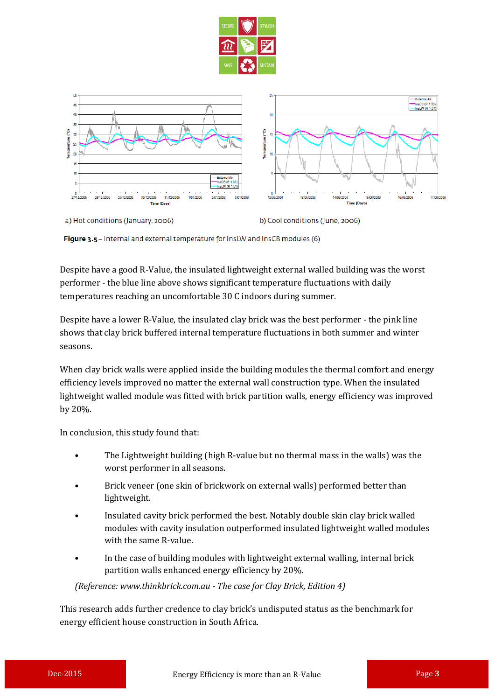



a) Hot conditions (January, 2006)

b) Cool conditions (June, 2006)

Figure 3.5 - Internal and external temperature for InsLW and InsCB modules (6)

Despite have a good R-Value, the insulated lightweight external walled building was the worst performer - the blue line above shows significant temperature fluctuations with daily temperatures reaching an uncomfortable 30 C indoors during summer.

Despite have a lower R-Value, the insulated clay brick was the best performer - the pink line shows that clay brick buffered internal temperature fluctuations in both summer and winter seasons.

When clay brick walls were applied inside the building modules the thermal comfort and energy efficiency levels improved no matter the external wall construction type. When the insulated lightweight walled module was fitted with brick partition walls, energy efficiency was improved by 20%.

In conclusion, this study found that:

- The Lightweight building (high R-value but no thermal mass in the walls) was the worst performer in all seasons.
- Brick veneer (one skin of brickwork on external walls) performed better than lightweight.
- Insulated cavity brick performed the best. Notably double skin clay brick walled modules with cavity insulation outperformed insulated lightweight walled modules with the same R-value.
- In the case of building modules with lightweight external walling, internal brick partition walls enhanced energy efficiency by 20%.

*(Reference: www.thinkbrick.com.au - The case for Clay Brick, Edition 4)*

This research adds further credence to clay brick's undisputed status as the benchmark for energy efficient house construction in South Africa.